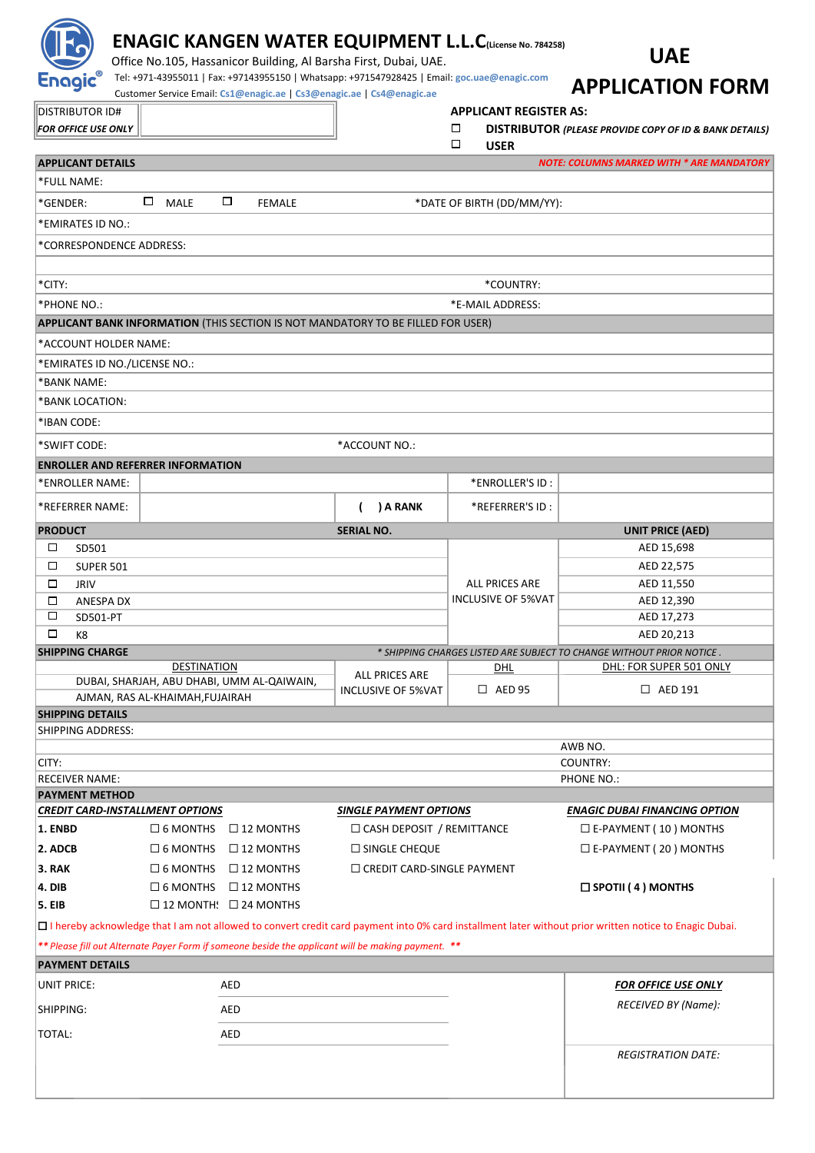|                                                                                                             |                                                                               |                                                       | Office No.105, Hassanicor Building, Al Barsha First, Dubai, UAE.                                                                                                      | <b>ENAGIC KANGEN WATER EQUIPMENT L.L.C(License No. 784258)</b> | <b>UAE</b>                                                                                                                                               |  |  |
|-------------------------------------------------------------------------------------------------------------|-------------------------------------------------------------------------------|-------------------------------------------------------|-----------------------------------------------------------------------------------------------------------------------------------------------------------------------|----------------------------------------------------------------|----------------------------------------------------------------------------------------------------------------------------------------------------------|--|--|
| Enagic®                                                                                                     |                                                                               |                                                       | Tel: +971-43955011   Fax: +97143955150   Whatsapp: +971547928425   Email: goc.uae@enagic.com<br>Customer Service Email: Cs1@enagic.ae   Cs3@enagic.ae   Cs4@enagic.ae |                                                                | <b>APPLICATION FORM</b>                                                                                                                                  |  |  |
|                                                                                                             |                                                                               |                                                       |                                                                                                                                                                       | <b>APPLICANT REGISTER AS:</b>                                  |                                                                                                                                                          |  |  |
| <b>DISTRIBUTOR ID#</b><br><b>FOR OFFICE USE ONLY</b>                                                        |                                                                               |                                                       |                                                                                                                                                                       | □                                                              | <b>DISTRIBUTOR (PLEASE PROVIDE COPY OF ID &amp; BANK DETAILS)</b>                                                                                        |  |  |
|                                                                                                             |                                                                               |                                                       |                                                                                                                                                                       | □<br><b>USER</b>                                               |                                                                                                                                                          |  |  |
| <b>APPLICANT DETAILS</b>                                                                                    |                                                                               |                                                       |                                                                                                                                                                       |                                                                | <b>NOTE: COLUMNS MARKED WITH * ARE MANDATORY</b>                                                                                                         |  |  |
| *FULL NAME:                                                                                                 |                                                                               |                                                       |                                                                                                                                                                       |                                                                |                                                                                                                                                          |  |  |
| *GENDER:                                                                                                    | □<br>$\Box$<br>MALE                                                           | <b>FEMALE</b>                                         |                                                                                                                                                                       | *DATE OF BIRTH (DD/MM/YY):                                     |                                                                                                                                                          |  |  |
| *EMIRATES ID NO.:                                                                                           |                                                                               |                                                       |                                                                                                                                                                       |                                                                |                                                                                                                                                          |  |  |
| *CORRESPONDENCE ADDRESS:                                                                                    |                                                                               |                                                       |                                                                                                                                                                       |                                                                |                                                                                                                                                          |  |  |
|                                                                                                             |                                                                               |                                                       |                                                                                                                                                                       |                                                                |                                                                                                                                                          |  |  |
| *CITY:                                                                                                      | *COUNTRY:                                                                     |                                                       |                                                                                                                                                                       |                                                                |                                                                                                                                                          |  |  |
| *PHONE NO.:                                                                                                 |                                                                               |                                                       |                                                                                                                                                                       |                                                                |                                                                                                                                                          |  |  |
| *E-MAIL ADDRESS:<br><b>APPLICANT BANK INFORMATION (THIS SECTION IS NOT MANDATORY TO BE FILLED FOR USER)</b> |                                                                               |                                                       |                                                                                                                                                                       |                                                                |                                                                                                                                                          |  |  |
| *ACCOUNT HOLDER NAME:                                                                                       |                                                                               |                                                       |                                                                                                                                                                       |                                                                |                                                                                                                                                          |  |  |
| *EMIRATES ID NO./LICENSE NO.:                                                                               |                                                                               |                                                       |                                                                                                                                                                       |                                                                |                                                                                                                                                          |  |  |
| *BANK NAME:                                                                                                 |                                                                               |                                                       |                                                                                                                                                                       |                                                                |                                                                                                                                                          |  |  |
| *BANK LOCATION:                                                                                             |                                                                               |                                                       |                                                                                                                                                                       |                                                                |                                                                                                                                                          |  |  |
| *IBAN CODE:                                                                                                 |                                                                               |                                                       |                                                                                                                                                                       |                                                                |                                                                                                                                                          |  |  |
|                                                                                                             |                                                                               |                                                       |                                                                                                                                                                       |                                                                |                                                                                                                                                          |  |  |
| *SWIFT CODE:                                                                                                |                                                                               |                                                       | *ACCOUNT NO.:                                                                                                                                                         |                                                                |                                                                                                                                                          |  |  |
| <b>ENROLLER AND REFERRER INFORMATION</b><br>*ENROLLER NAME:                                                 |                                                                               |                                                       |                                                                                                                                                                       | *ENROLLER'S ID:                                                |                                                                                                                                                          |  |  |
|                                                                                                             |                                                                               |                                                       |                                                                                                                                                                       |                                                                |                                                                                                                                                          |  |  |
| *REFERRER NAME:                                                                                             |                                                                               |                                                       | ) A RANK                                                                                                                                                              | *REFERRER'S ID :                                               |                                                                                                                                                          |  |  |
| <b>PRODUCT</b>                                                                                              |                                                                               |                                                       | <b>SERIAL NO.</b>                                                                                                                                                     |                                                                | <b>UNIT PRICE (AED)</b>                                                                                                                                  |  |  |
| □<br>SD501                                                                                                  |                                                                               |                                                       |                                                                                                                                                                       |                                                                | AED 15,698                                                                                                                                               |  |  |
| □<br><b>SUPER 501</b>                                                                                       |                                                                               |                                                       |                                                                                                                                                                       | AED 22,575                                                     |                                                                                                                                                          |  |  |
| □<br><b>JRIV</b>                                                                                            |                                                                               |                                                       |                                                                                                                                                                       | <b>ALL PRICES ARE</b><br><b>INCLUSIVE OF 5%VAT</b>             | AED 11,550                                                                                                                                               |  |  |
| □<br>ANESPA DX<br>□<br>SD501-PT                                                                             |                                                                               |                                                       |                                                                                                                                                                       |                                                                | AED 12,390<br>AED 17,273                                                                                                                                 |  |  |
| □<br>K8                                                                                                     |                                                                               |                                                       |                                                                                                                                                                       |                                                                | AED 20,213                                                                                                                                               |  |  |
| <b>SHIPPING CHARGE</b>                                                                                      |                                                                               |                                                       |                                                                                                                                                                       |                                                                | * SHIPPING CHARGES LISTED ARE SUBJECT TO CHANGE WITHOUT PRIOR NOTICE.                                                                                    |  |  |
|                                                                                                             | <b>DESTINATION</b>                                                            |                                                       | <b>ALL PRICES ARE</b>                                                                                                                                                 | DHL                                                            | DHL: FOR SUPER 501 ONLY                                                                                                                                  |  |  |
|                                                                                                             | DUBAI, SHARJAH, ABU DHABI, UMM AL-QAIWAIN,<br>AJMAN, RAS AL-KHAIMAH, FUJAIRAH |                                                       | <b>INCLUSIVE OF 5%VAT</b>                                                                                                                                             | $\Box$ AED 95                                                  | $\Box$ AED 191                                                                                                                                           |  |  |
| <b>SHIPPING DETAILS</b>                                                                                     |                                                                               |                                                       |                                                                                                                                                                       |                                                                |                                                                                                                                                          |  |  |
| SHIPPING ADDRESS:                                                                                           |                                                                               |                                                       |                                                                                                                                                                       |                                                                |                                                                                                                                                          |  |  |
|                                                                                                             | AWB NO.                                                                       |                                                       |                                                                                                                                                                       |                                                                |                                                                                                                                                          |  |  |
| CITY:                                                                                                       |                                                                               |                                                       |                                                                                                                                                                       |                                                                | COUNTRY:                                                                                                                                                 |  |  |
| <b>RECEIVER NAME:</b><br><b>PAYMENT METHOD</b>                                                              |                                                                               |                                                       |                                                                                                                                                                       |                                                                | PHONE NO.:                                                                                                                                               |  |  |
| <b>CREDIT CARD-INSTALLMENT OPTIONS</b>                                                                      |                                                                               |                                                       | <b>SINGLE PAYMENT OPTIONS</b>                                                                                                                                         |                                                                | <b>ENAGIC DUBAI FINANCING OPTION</b>                                                                                                                     |  |  |
| 1. ENBD                                                                                                     | $\Box$ 6 MONTHS                                                               | $\Box$ 12 MONTHS                                      | $\Box$ CASH DEPOSIT / REMITTANCE                                                                                                                                      |                                                                | $\square$ E-PAYMENT (10) MONTHS                                                                                                                          |  |  |
| 2. ADCB                                                                                                     | $\square$ 6 MONTHS                                                            | $\Box$ 12 MONTHS                                      | $\square$ SINGLE CHEQUE                                                                                                                                               |                                                                | $\square$ E-PAYMENT (20) MONTHS                                                                                                                          |  |  |
| 3. RAK                                                                                                      | $\Box$ 6 MONTHS                                                               | $\Box$ 12 MONTHS<br>$\Box$ CREDIT CARD-SINGLE PAYMENT |                                                                                                                                                                       |                                                                |                                                                                                                                                          |  |  |
| 4. DIB                                                                                                      | $\Box$ 6 MONTHS<br>$\square$ 12 MONTHS<br>$\Box$ SPOTII (4) MONTHS            |                                                       |                                                                                                                                                                       |                                                                |                                                                                                                                                          |  |  |
| <b>5. EIB</b>                                                                                               | $\Box$ 12 MONTH: $\Box$ 24 MONTHS                                             |                                                       |                                                                                                                                                                       |                                                                |                                                                                                                                                          |  |  |
|                                                                                                             |                                                                               |                                                       |                                                                                                                                                                       |                                                                | □ I hereby acknowledge that I am not allowed to convert credit card payment into 0% card installment later without prior written notice to Enagic Dubai. |  |  |
|                                                                                                             |                                                                               |                                                       | ** Please fill out Alternate Payer Form if someone beside the applicant will be making payment. **                                                                    |                                                                |                                                                                                                                                          |  |  |
| <b>PAYMENT DETAILS</b>                                                                                      |                                                                               |                                                       |                                                                                                                                                                       |                                                                |                                                                                                                                                          |  |  |
| <b>UNIT PRICE:</b>                                                                                          | <b>AED</b>                                                                    |                                                       |                                                                                                                                                                       |                                                                | <b>FOR OFFICE USE ONLY</b>                                                                                                                               |  |  |
| SHIPPING:                                                                                                   | <b>AED</b>                                                                    |                                                       |                                                                                                                                                                       |                                                                | RECEIVED BY (Name):                                                                                                                                      |  |  |
|                                                                                                             |                                                                               |                                                       |                                                                                                                                                                       |                                                                |                                                                                                                                                          |  |  |
| TOTAL:                                                                                                      | <b>AED</b>                                                                    |                                                       |                                                                                                                                                                       |                                                                |                                                                                                                                                          |  |  |
|                                                                                                             |                                                                               |                                                       |                                                                                                                                                                       |                                                                | <b>REGISTRATION DATE:</b>                                                                                                                                |  |  |
|                                                                                                             |                                                                               |                                                       |                                                                                                                                                                       |                                                                |                                                                                                                                                          |  |  |